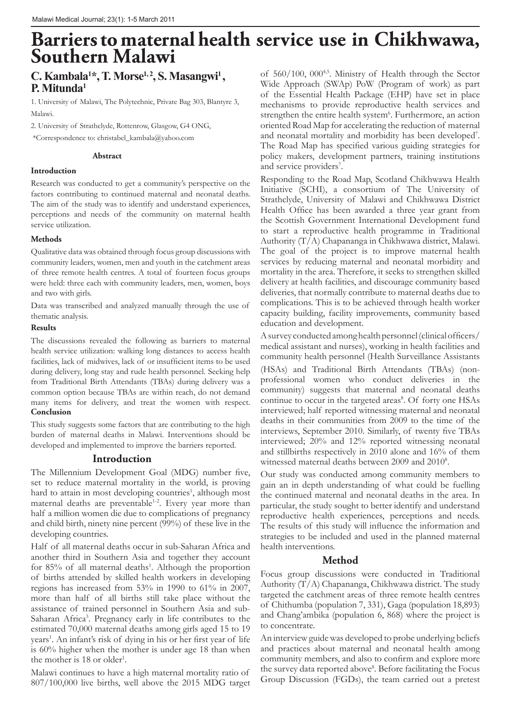# **Barriers to maternal health service use in Chikhwawa, Southern Malawi**

# C. Kambala<sup>1\*</sup>, T. Morse<sup>1, 2</sup>, S. Masangwi<sup>1</sup>, **P. Mitunda1**

1. University of Malawi, The Polytechnic, Private Bag 303, Blantyre 3, Malawi.

2. University of Strathclyde, Rottenrow, Glasgow, G4 ONG,

\*Correspondence to: christabel\_kambala@yahoo.com

#### **Abstract**

#### **Introduction**

Research was conducted to get a community's perspective on the factors contributing to continued maternal and neonatal deaths. The aim of the study was to identify and understand experiences, perceptions and needs of the community on maternal health service utilization.

#### **Methods**

Qualitative data was obtained through focus group discussions with community leaders, women, men and youth in the catchment areas of three remote health centres. A total of fourteen focus groups were held: three each with community leaders, men, women, boys and two with girls.

Data was transcribed and analyzed manually through the use of thematic analysis.

#### **Results**

The discussions revealed the following as barriers to maternal health service utilization: walking long distances to access health facilities, lack of midwives, lack of or insufficient items to be used during delivery, long stay and rude health personnel. Seeking help from Traditional Birth Attendants (TBAs) during delivery was a common option because TBAs are within reach, do not demand many items for delivery, and treat the women with respect. **Conclusion**

This study suggests some factors that are contributing to the high burden of maternal deaths in Malawi. Interventions should be developed and implemented to improve the barriers reported.

## **Introduction**

The Millennium Development Goal (MDG) number five, set to reduce maternal mortality in the world, is proving hard to attain in most developing countries<sup>1</sup>, although most maternal deaths are preventable<sup>1-2</sup>. Every year more than half a million women die due to complications of pregnancy and child birth, ninety nine percent (99%) of these live in the developing countries.

Half of all maternal deaths occur in sub-Saharan Africa and another third in Southern Asia and together they account for 85% of all maternal deaths<sup>1</sup>. Although the proportion of births attended by skilled health workers in developing regions has increased from 53% in 1990 to 61% in 2007, more than half of all births still take place without the assistance of trained personnel in Southern Asia and sub-Saharan Africa<sup>3</sup>. Pregnancy early in life contributes to the estimated 70,000 maternal deaths among girls aged 15 to 19 years<sup>1</sup>. An infant's risk of dying in his or her first year of life is 60% higher when the mother is under age 18 than when the mother is 18 or older<sup>1</sup>.

Malawi continues to have a high maternal mortality ratio of 807/100,000 live births, well above the 2015 MDG target of 560/100, 000<sup>4,5</sup>. Ministry of Health through the Sector Wide Approach (SWAp) PoW (Program of work) as part of the Essential Health Package (EHP) have set in place mechanisms to provide reproductive health services and strengthen the entire health system<sup>6</sup>. Furthermore, an action oriented Road Map for accelerating the reduction of maternal and neonatal mortality and morbidity has been developed<sup>7</sup>. The Road Map has specified various guiding strategies for policy makers, development partners, training institutions and service providers<sup>7</sup>.

Responding to the Road Map, Scotland Chikhwawa Health Initiative (SCHI), a consortium of The University of Strathclyde, University of Malawi and Chikhwawa District Health Office has been awarded a three year grant from the Scottish Government International Development fund to start a reproductive health programme in Traditional Authority (T/A) Chapananga in Chikhwawa district, Malawi. The goal of the project is to improve maternal health services by reducing maternal and neonatal morbidity and mortality in the area. Therefore, it seeks to strengthen skilled delivery at health facilities, and discourage community based deliveries, that normally contribute to maternal deaths due to complications. This is to be achieved through health worker capacity building, facility improvements, community based education and development.

A survey conducted among health personnel (clinical officers/ medical assistant and nurses), working in health facilities and community health personnel (Health Surveillance Assistants (HSAs) and Traditional Birth Attendants (TBAs) (nonprofessional women who conduct deliveries in the community) suggests that maternal and neonatal deaths continue to occur in the targeted areas<sup>8</sup>. Of forty one HSAs interviewed; half reported witnessing maternal and neonatal deaths in their communities from 2009 to the time of the interviews, September 2010. Similarly, of twenty five TBAs interviewed; 20% and 12% reported witnessing neonatal and stillbirths respectively in 2010 alone and 16% of them witnessed maternal deaths between 2009 and 2010<sup>8</sup>.

Our study was conducted among community members to gain an in depth understanding of what could be fuelling the continued maternal and neonatal deaths in the area. In particular, the study sought to better identify and understand reproductive health experiences, perceptions and needs. The results of this study will influence the information and strategies to be included and used in the planned maternal health interventions.

# **Method**

Focus group discussions were conducted in Traditional Authority (T/A) Chapananga, Chikhwawa district. The study targeted the catchment areas of three remote health centres of Chithumba (population 7, 331), Gaga (population 18,893) and Chang'ambika (population 6, 868) where the project is to concentrate.

An interview guide was developed to probe underlying beliefs and practices about maternal and neonatal health among community members, and also to confirm and explore more the survey data reported above<sup>8</sup>. Before facilitating the Focus Group Discussion (FGDs), the team carried out a pretest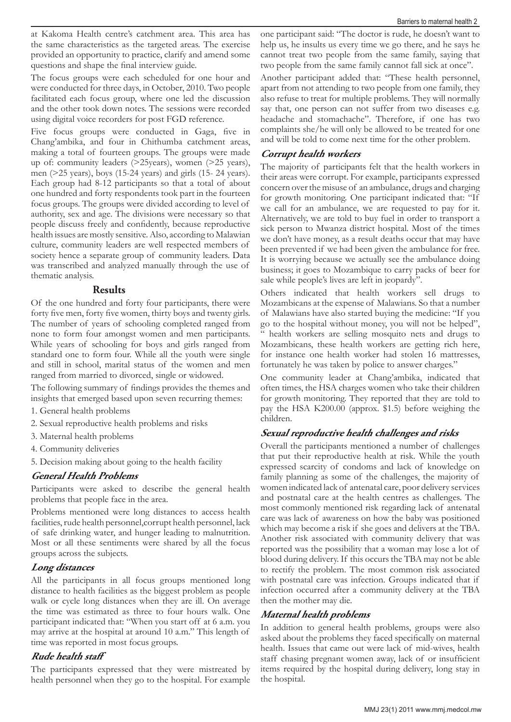at Kakoma Health centre's catchment area. This area has the same characteristics as the targeted areas. The exercise provided an opportunity to practice, clarify and amend some questions and shape the final interview guide.

The focus groups were each scheduled for one hour and were conducted for three days, in October, 2010. Two people facilitated each focus group, where one led the discussion and the other took down notes. The sessions were recorded using digital voice recorders for post FGD reference.

Five focus groups were conducted in Gaga, five in Chang'ambika, and four in Chithumba catchment areas, making a total of fourteen groups. The groups were made up of: community leaders (>25years), women (>25 years), men (>25 years), boys (15-24 years) and girls (15- 24 years). Each group had 8-12 participants so that a total of about one hundred and forty respondents took part in the fourteen focus groups. The groups were divided according to level of authority, sex and age. The divisions were necessary so that people discuss freely and confidently, because reproductive health issues are mostly sensitive. Also, according to Malawian culture, community leaders are well respected members of society hence a separate group of community leaders. Data was transcribed and analyzed manually through the use of thematic analysis.

## **Results**

Of the one hundred and forty four participants, there were forty five men, forty five women, thirty boys and twenty girls. The number of years of schooling completed ranged from none to form four amongst women and men participants. While years of schooling for boys and girls ranged from standard one to form four. While all the youth were single and still in school, marital status of the women and men ranged from married to divorced, single or widowed.

The following summary of findings provides the themes and insights that emerged based upon seven recurring themes:

- 1. General health problems
- 2. Sexual reproductive health problems and risks
- 3. Maternal health problems
- 4. Community deliveries
- 5. Decision making about going to the health facility

## **General Health Problems**

Participants were asked to describe the general health problems that people face in the area.

Problems mentioned were long distances to access health facilities, rude health personnel,corrupt health personnel, lack of safe drinking water, and hunger leading to malnutrition. Most or all these sentiments were shared by all the focus groups across the subjects.

# **Long distances**

All the participants in all focus groups mentioned long distance to health facilities as the biggest problem as people walk or cycle long distances when they are ill. On average the time was estimated as three to four hours walk. One participant indicated that: "When you start off at 6 a.m. you may arrive at the hospital at around 10 a.m." This length of time was reported in most focus groups.

# **Rude health staff**

The participants expressed that they were mistreated by health personnel when they go to the hospital. For example

one participant said: "The doctor is rude, he doesn't want to help us, he insults us every time we go there, and he says he cannot treat two people from the same family, saying that two people from the same family cannot fall sick at once".

Another participant added that: "These health personnel, apart from not attending to two people from one family, they also refuse to treat for multiple problems. They will normally say that, one person can not suffer from two diseases e.g. headache and stomachache". Therefore, if one has two complaints she/he will only be allowed to be treated for one and will be told to come next time for the other problem.

# **Corrupt health workers**

The majority of participants felt that the health workers in their areas were corrupt. For example, participants expressed concern over the misuse of an ambulance, drugs and charging for growth monitoring. One participant indicated that: "If we call for an ambulance, we are requested to pay for it. Alternatively, we are told to buy fuel in order to transport a sick person to Mwanza district hospital. Most of the times we don't have money, as a result deaths occur that may have been prevented if we had been given the ambulance for free. It is worrying because we actually see the ambulance doing business; it goes to Mozambique to carry packs of beer for sale while people's lives are left in jeopardy".

Others indicated that health workers sell drugs to Mozambicans at the expense of Malawians. So that a number of Malawians have also started buying the medicine: "If you go to the hospital without money, you will not be helped", " health workers are selling mosquito nets and drugs to Mozambicans, these health workers are getting rich here, for instance one health worker had stolen 16 mattresses, fortunately he was taken by police to answer charges."

One community leader at Chang'ambika, indicated that often times, the HSA charges women who take their children for growth monitoring. They reported that they are told to pay the HSA K200.00 (approx. \$1.5) before weighing the children.

# **Sexual reproductive health challenges and risks**

Overall the participants mentioned a number of challenges that put their reproductive health at risk. While the youth expressed scarcity of condoms and lack of knowledge on family planning as some of the challenges, the majority of women indicated lack of antenatal care, poor delivery services and postnatal care at the health centres as challenges. The most commonly mentioned risk regarding lack of antenatal care was lack of awareness on how the baby was positioned which may become a risk if she goes and delivers at the TBA. Another risk associated with community delivery that was reported was the possibility that a woman may lose a lot of blood during delivery. If this occurs the TBA may not be able to rectify the problem. The most common risk associated with postnatal care was infection. Groups indicated that if infection occurred after a community delivery at the TBA then the mother may die.

# **Maternal health problems**

In addition to general health problems, groups were also asked about the problems they faced specifically on maternal health. Issues that came out were lack of mid-wives, health staff chasing pregnant women away, lack of or insufficient items required by the hospital during delivery, long stay in the hospital.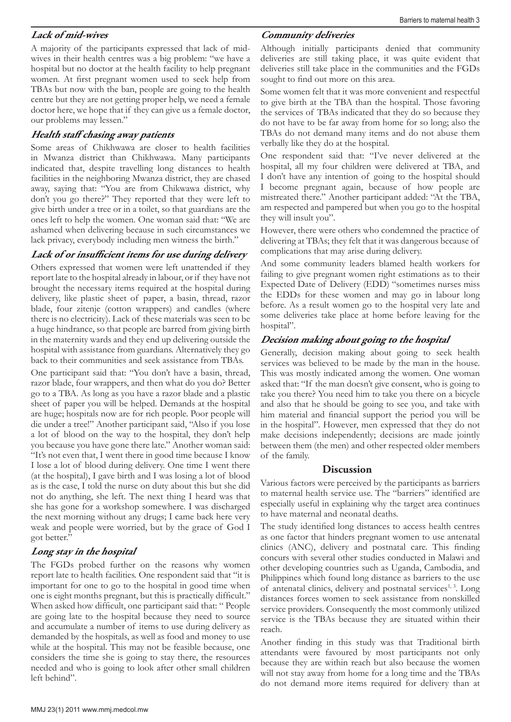## **Lack of mid-wives**

A majority of the participants expressed that lack of midwives in their health centres was a big problem: "we have a hospital but no doctor at the health facility to help pregnant women. At first pregnant women used to seek help from TBAs but now with the ban, people are going to the health centre but they are not getting proper help, we need a female doctor here, we hope that if they can give us a female doctor, our problems may lessen."

#### **Health staff chasing away patients**

Some areas of Chikhwawa are closer to health facilities in Mwanza district than Chikhwawa. Many participants indicated that, despite travelling long distances to health facilities in the neighboring Mwanza district, they are chased away, saying that: "You are from Chikwawa district, why don't you go there?" They reported that they were left to give birth under a tree or in a toilet, so that guardians are the ones left to help the women. One woman said that: "We are ashamed when delivering because in such circumstances we lack privacy, everybody including men witness the birth."

## **Lack of or insufficient items for use during delivery**

Others expressed that women were left unattended if they report late to the hospital already in labour, or if they have not brought the necessary items required at the hospital during delivery, like plastic sheet of paper, a basin, thread, razor blade, four zitenje (cotton wrappers) and candles (where there is no electricity). Lack of these materials was seen to be a huge hindrance, so that people are barred from giving birth in the maternity wards and they end up delivering outside the hospital with assistance from guardians. Alternatively they go back to their communities and seek assistance from TBAs.

One participant said that: "You don't have a basin, thread, razor blade, four wrappers, and then what do you do? Better go to a TBA. As long as you have a razor blade and a plastic sheet of paper you will be helped. Demands at the hospital are huge; hospitals now are for rich people. Poor people will die under a tree!" Another participant said, "Also if you lose a lot of blood on the way to the hospital, they don't help you because you have gone there late." Another woman said: "It's not even that, I went there in good time because I know I lose a lot of blood during delivery. One time I went there (at the hospital), I gave birth and I was losing a lot of blood as is the case, I told the nurse on duty about this but she did not do anything, she left. The next thing I heard was that she has gone for a workshop somewhere. I was discharged the next morning without any drugs; I came back here very weak and people were worried, but by the grace of God I got better."

# **Long stay in the hospital**

The FGDs probed further on the reasons why women report late to health facilities. One respondent said that "it is important for one to go to the hospital in good time when one is eight months pregnant, but this is practically difficult." When asked how difficult, one participant said that: " People are going late to the hospital because they need to source and accumulate a number of items to use during delivery as demanded by the hospitals, as well as food and money to use while at the hospital. This may not be feasible because, one considers the time she is going to stay there, the resources needed and who is going to look after other small children left behind".

## **Community deliveries**

Although initially participants denied that community deliveries are still taking place, it was quite evident that deliveries still take place in the communities and the FGDs sought to find out more on this area.

Some women felt that it was more convenient and respectful to give birth at the TBA than the hospital. Those favoring the services of TBAs indicated that they do so because they do not have to be far away from home for so long; also the TBAs do not demand many items and do not abuse them verbally like they do at the hospital.

One respondent said that: "I've never delivered at the hospital, all my four children were delivered at TBA, and I don't have any intention of going to the hospital should I become pregnant again, because of how people are mistreated there." Another participant added: "At the TBA, am respected and pampered but when you go to the hospital they will insult you".

However, there were others who condemned the practice of delivering at TBAs; they felt that it was dangerous because of complications that may arise during delivery.

And some community leaders blamed health workers for failing to give pregnant women right estimations as to their Expected Date of Delivery (EDD) "sometimes nurses miss the EDDs for these women and may go in labour long before. As a result women go to the hospital very late and some deliveries take place at home before leaving for the hospital".

## **Decision making about going to the hospital**

Generally, decision making about going to seek health services was believed to be made by the man in the house. This was mostly indicated among the women. One woman asked that: "If the man doesn't give consent, who is going to take you there? You need him to take you there on a bicycle and also that he should be going to see you, and take with him material and financial support the period you will be in the hospital". However, men expressed that they do not make decisions independently; decisions are made jointly between them (the men) and other respected older members of the family.

## **Discussion**

Various factors were perceived by the participants as barriers to maternal health service use. The "barriers" identified are especially useful in explaining why the target area continues to have maternal and neonatal deaths.

The study identified long distances to access health centres as one factor that hinders pregnant women to use antenatal clinics (ANC), delivery and postnatal care. This finding concurs with several other studies conducted in Malawi and other developing countries such as Uganda, Cambodia, and Philippines which found long distance as barriers to the use of antenatal clinics, delivery and postnatal services<sup>1, 3</sup>. Long distances forces women to seek assistance from nonskilled service providers. Consequently the most commonly utilized service is the TBAs because they are situated within their reach.

Another finding in this study was that Traditional birth attendants were favoured by most participants not only because they are within reach but also because the women will not stay away from home for a long time and the TBAs do not demand more items required for delivery than at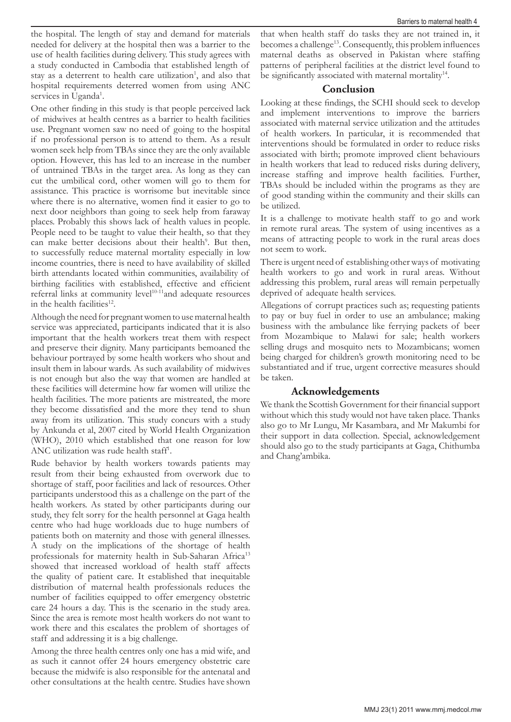the hospital. The length of stay and demand for materials needed for delivery at the hospital then was a barrier to the use of health facilities during delivery. This study agrees with a study conducted in Cambodia that established length of stay as a deterrent to health care utilization<sup>1</sup>, and also that hospital requirements deterred women from using ANC services in Uganda<sup>1</sup>.

One other finding in this study is that people perceived lack of midwives at health centres as a barrier to health facilities use. Pregnant women saw no need of going to the hospital if no professional person is to attend to them. As a result women seek help from TBAs since they are the only available option. However, this has led to an increase in the number of untrained TBAs in the target area. As long as they can cut the umbilical cord, other women will go to them for assistance. This practice is worrisome but inevitable since where there is no alternative, women find it easier to go to next door neighbors than going to seek help from faraway places. Probably this shows lack of health values in people. People need to be taught to value their health, so that they can make better decisions about their health<sup>9</sup>. But then, to successfully reduce maternal mortality especially in low income countries, there is need to have availability of skilled birth attendants located within communities, availability of birthing facilities with established, effective and efficient referral links at community level<sup>10-11</sup>and adequate resources in the health facilities<sup>12</sup>.

Although the need for pregnant women to use maternal health service was appreciated, participants indicated that it is also important that the health workers treat them with respect and preserve their dignity. Many participants bemoaned the behaviour portrayed by some health workers who shout and insult them in labour wards. As such availability of midwives is not enough but also the way that women are handled at these facilities will determine how far women will utilize the health facilities. The more patients are mistreated, the more they become dissatisfied and the more they tend to shun away from its utilization. This study concurs with a study by Ankunda et al, 2007 cited by World Health Organization (WHO), 2010 which established that one reason for low ANC utilization was rude health staff<sup>1</sup>.

Rude behavior by health workers towards patients may result from their being exhausted from overwork due to shortage of staff, poor facilities and lack of resources. Other participants understood this as a challenge on the part of the health workers. As stated by other participants during our study, they felt sorry for the health personnel at Gaga health centre who had huge workloads due to huge numbers of patients both on maternity and those with general illnesses. A study on the implications of the shortage of health professionals for maternity health in Sub-Saharan Africa<sup>13</sup> showed that increased workload of health staff affects the quality of patient care. It established that inequitable distribution of maternal health professionals reduces the number of facilities equipped to offer emergency obstetric care 24 hours a day. This is the scenario in the study area. Since the area is remote most health workers do not want to work there and this escalates the problem of shortages of staff and addressing it is a big challenge.

Among the three health centres only one has a mid wife, and as such it cannot offer 24 hours emergency obstetric care because the midwife is also responsible for the antenatal and other consultations at the health centre. Studies have shown that when health staff do tasks they are not trained in, it becomes a challenge<sup>13</sup>. Consequently, this problem influences maternal deaths as observed in Pakistan where staffing patterns of peripheral facilities at the district level found to be significantly associated with maternal mortality<sup>14</sup>.

#### **Conclusion**

Looking at these findings, the SCHI should seek to develop and implement interventions to improve the barriers associated with maternal service utilization and the attitudes of health workers. In particular, it is recommended that interventions should be formulated in order to reduce risks associated with birth; promote improved client behaviours in health workers that lead to reduced risks during delivery, increase staffing and improve health facilities. Further, TBAs should be included within the programs as they are of good standing within the community and their skills can be utilized.

It is a challenge to motivate health staff to go and work in remote rural areas. The system of using incentives as a means of attracting people to work in the rural areas does not seem to work.

There is urgent need of establishing other ways of motivating health workers to go and work in rural areas. Without addressing this problem, rural areas will remain perpetually deprived of adequate health services.

Allegations of corrupt practices such as; requesting patients to pay or buy fuel in order to use an ambulance; making business with the ambulance like ferrying packets of beer from Mozambique to Malawi for sale; health workers selling drugs and mosquito nets to Mozambicans; women being charged for children's growth monitoring need to be substantiated and if true, urgent corrective measures should be taken.

## **Acknowledgements**

We thank the Scottish Government for their financial support without which this study would not have taken place. Thanks also go to Mr Lungu, Mr Kasambara, and Mr Makumbi for their support in data collection. Special, acknowledgement should also go to the study participants at Gaga, Chithumba and Chang'ambika.